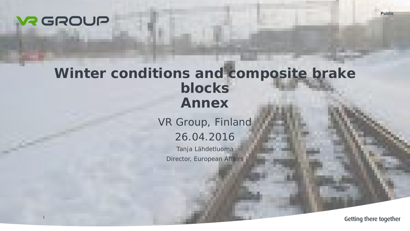### **WR GROUP**

1

# **Winter conditions and composite brake blocks Annex**

VR Group, Finland 26.04.2016

Tanja Lähdetluoma Director, European Affairs

Getting there together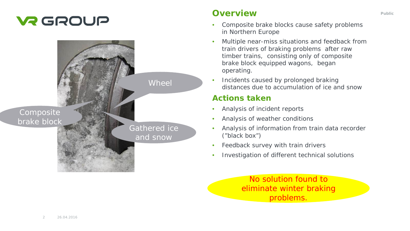### **VR GROUP**



Composite brake block **Overview Public Public** 

- Composite brake blocks cause safety problems in Northern Europe
- Multiple near-miss situations and feedback from train drivers of braking problems after raw timber trains, consisting only of composite brake block equipped wagons, began operating.
- Incidents caused by prolonged braking distances due to accumulation of ice and snow

#### **Actions taken**

- Analysis of incident reports
- Analysis of weather conditions
- Analysis of information from train data recorder ("black box")
- Feedback survey with train drivers
- Investigation of different technical solutions

No solution found to eliminate winter braking problems.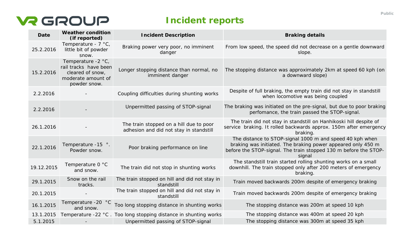### **VR GROUP**

**Incident reports**

| <b>Date</b> | <b>Weather condition</b><br>(if reported)                                                             | <b>Incident Description</b>                                                        | <b>Braking details</b>                                                                                                                                                                                 |
|-------------|-------------------------------------------------------------------------------------------------------|------------------------------------------------------------------------------------|--------------------------------------------------------------------------------------------------------------------------------------------------------------------------------------------------------|
| 25.2.2016   | Temperature - $7 °C$ ,<br>little bit of powder<br>snow.                                               | Braking power very poor, no imminent<br>danger                                     | From low speed, the speed did not decrease on a gentle downward<br>slope.                                                                                                                              |
| 15.2.2016   | Temperature -2 °C,<br>rail tracks have been<br>cleared of snow,<br>moderate amount of<br>powder snow. | Longer stopping distance than normal, no<br>imminent danger                        | The stopping distance was approximately 2km at speed 60 kph (on<br>a downward slope)                                                                                                                   |
| 2.2.2016    |                                                                                                       | Coupling difficulties during shunting works                                        | Despite of full braking, the empty train did not stay in standstill<br>when locomotive was being coupled                                                                                               |
| 2.2.2016    |                                                                                                       | Unpermitted passing of STOP-signal                                                 | The braking was initiated on the pre-signal, but due to poor braking<br>perfomance, the train passed the STOP-signal.                                                                                  |
| 26.1.2016   |                                                                                                       | The train stopped on a hill due to poor<br>adhesion and did not stay in standstill | The train did not stay in standstill on Hanhikoski hill despite of<br>service braking. It rolled backwards approx. 150m after emergency<br>braking.                                                    |
| 22.1.2016   | Temperature -15 °.<br>Powder snow.                                                                    | Poor braking performance on line                                                   | The distance to STOP-signal 1000 m and speed 40 kph when<br>braking was initiated. The braking power appeared only 450 m<br>before the STOP-signal. The train stopped 130 m before the STOP-<br>signal |
| 19.12.2015  | Temperature 0 °C<br>and snow.                                                                         | The train did not stop in shunting works                                           | The standstill train started rolling shunting works on a small<br>downhill. The train stopped only after 200 meters of emergency<br>braking.                                                           |
| 29.1.2015   | Snow on the rail<br>tracks.                                                                           | The train stopped on hill and did not stay in<br>standstill                        | Train moved backwards 200m despite of emergency braking                                                                                                                                                |
| 20.1.2015   |                                                                                                       | The train stopped on hill and did not stay in<br>standstill                        | Train moved backwards 200m despite of emergency braking                                                                                                                                                |
| 16.1.2015   | Temperature -20 °C<br>and snow.                                                                       | Too long stopping distance in shunting works                                       | The stopping distance was 200m at speed 10 kph                                                                                                                                                         |
| 13.1.2015   |                                                                                                       | Temperature -22 °C. Too long stopping distance in shunting works                   | The stopping distance was 400m at speed 20 kph                                                                                                                                                         |
| 5.1.2015    |                                                                                                       | Unpermitted passing of STOP-signal                                                 | The stopping distance was 300m at speed 35 kph                                                                                                                                                         |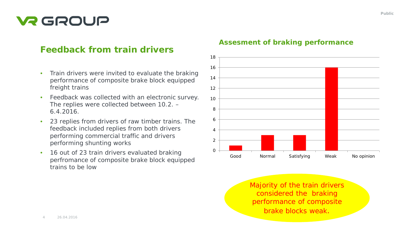# **V2 GROUP**

### **Feedback from train drivers**

- Train drivers were invited to evaluate the braking performance of composite brake block equipped freight trains
- Feedback was collected with an electronic survey. The replies were collected between 10.2. – 6.4.2016.
- 23 replies from drivers of raw timber trains. The feedback included replies from both drivers performing commercial traffic and drivers performing shunting works
- 16 out of 23 train drivers evaluated braking perfromance of composite brake block equipped trains to be low



#### **Assesment of braking performance**

Majority of the train drivers considered the braking performance of composite brake blocks weak.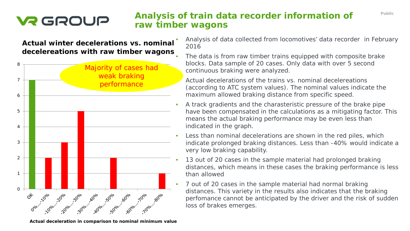# **VR GROUP**

### **Analysis of train data recorder information of raw timber wagons**

#### **Actual winter decelerations vs. nominal decelereations with raw timber wagons**



- Analysis of data collected from locomotives' data recorder in February 2016
	- The data is from raw timber trains equipped with composite brake blocks. Data sample of 20 cases. Only data with over 5 second continuous braking were analyzed.

• Actual decelerations of the trains vs. nominal decelereations (according to ATC system values). The nominal values indicate the maximum allowed braking distance from specific speed.

- A track gradients and the charasteristic pressure of the brake pipe have been compensated in the calculations as a mitigating factor. This means the actual braking performance may be even less than indicated in the graph.
- Less than nominal decelerations are shown in the red piles, which indicate prolonged braking distances. Less than -40% would indicate a very low braking capability.
- 13 out of 20 cases in the sample material had prolonged braking distances, which means in these cases the braking performance is less than allowed
- 7 out of 20 cases in the sample material had normal braking distances. This variety in the results also indicates that the braking perfomance cannot be anticipated by the driver and the risk of sudden loss of brakes emerges.

**Actual deceleration in comparison to nominal minimum value**